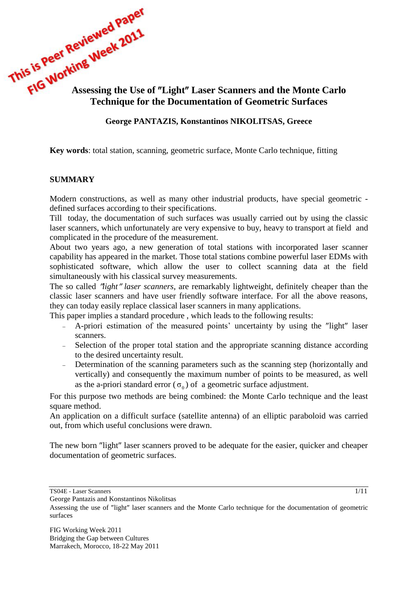This is very week<br>
Assessing the Use of "Light" Laser Scanners and the Monte Carlo<br>
Technique for the **Carlo Technique for the Documentation of Geometric Surfaces** 

# **George PANTAZIS, Konstantinos NIKOLITSAS, Greece**

**Key words**: total station, scanning, geometric surface, Monte Carlo technique, fitting

#### **SUMMARY**

Modern constructions, as well as many other industrial products, have special geometric defined surfaces according to their specifications.

Till today, the documentation of such surfaces was usually carried out by using the classic laser scanners, which unfortunately are very expensive to buy, heavy to transport at field and complicated in the procedure of the measurement.

About two years ago, a new generation of total stations with incorporated laser scanner capability has appeared in the market. Those total stations combine powerful laser EDMs with sophisticated software, which allow the user to collect scanning data at the field simultaneously with his classical survey measurements.

The so called *"light" laser scanners*, are remarkably lightweight, definitely cheaper than the classic laser scanners and have user friendly software interface. For all the above reasons, they can today easily replace classical laser scanners in many applications.

This paper implies a standard procedure , which leads to the following results:

- A-priori estimation of the measured points' uncertainty by using the "light" laser scanners.
- Selection of the proper total station and the appropriate scanning distance according to the desired uncertainty result.
- Determination of the scanning parameters such as the scanning step (horizontally and vertically) and consequently the maximum number of points to be measured, as well as the a-priori standard error ( $\sigma_0$ ) of a geometric surface adjustment.

For this purpose two methods are being combined: the Monte Carlo technique and the least square method.

An application on a difficult surface (satellite antenna) of an elliptic paraboloid was carried out, from which useful conclusions were drawn.

The new born "light" laser scanners proved to be adequate for the easier, quicker and cheaper documentation of geometric surfaces.

George Pantazis and Konstantinos Nikolitsas

TS04E - Laser Scanners

Assessing the use of "light" laser scanners and the Monte Carlo technique for the documentation of geometric surfaces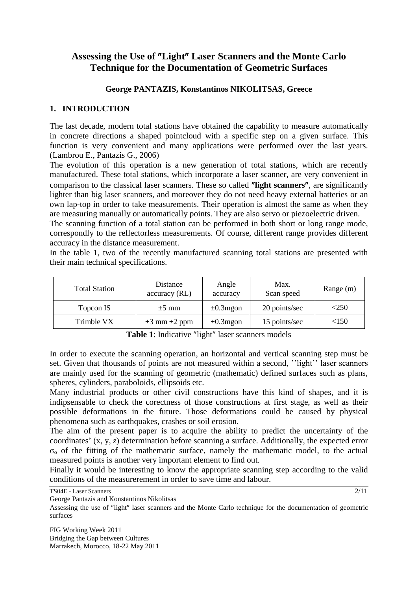# Assessing the Use of "Light" Laser Scanners and the Monte Carlo **Technique for the Documentation of Geometric Surfaces**

# **George PANTAZIS, Konstantinos NIKOLITSAS, Greece**

# **1. INTRODUCTION**

The last decade, modern total stations have obtained the capability to measure automatically in concrete directions a shaped pointcloud with a specific step on a given surface. This function is very convenient and many applications were performed over the last years. (Lambrou E., Pantazis G., 2006)

The evolution of this operation is a new generation of total stations, which are recently manufactured. These total stations, which incorporate a laser scanner, are very convenient in comparison to the classical laser scanners. These so called "light scanners", are significantly lighter than big laser scanners, and moreover they do not need heavy external batteries or an own lap-top in order to take measurements. Their operation is almost the same as when they are measuring manually or automatically points. They are also servo or piezoelectric driven.

The scanning function of a total station can be performed in both short or long range mode, correspondly to the reflectorless measurements. Of course, different range provides different accuracy in the distance measurement.

In the table 1, two of the recently manufactured scanning total stations are presented with their main technical specifications.

| <b>Total Station</b> | Distance<br>accuracy (RL) | Angle<br>accuracy | Max.<br>Scan speed | Range (m) |
|----------------------|---------------------------|-------------------|--------------------|-----------|
| Topcon IS            | $\pm 5$ mm                | $\pm 0.3$ mgon    | 20 points/sec      | <250      |
| Trimble VX           | $\pm 3$ mm $\pm 2$ ppm    | $\pm 0.3$ mgon    | 15 points/sec      | <150      |

Table 1: Indicative "light" laser scanners models

In order to execute the scanning operation, an horizontal and vertical scanning step must be set. Given that thousands of points are not measured within a second, ''light'' laser scanners are mainly used for the scanning of geometric (mathematic) defined surfaces such as plans, spheres, cylinders, paraboloids, ellipsoids etc.

Many industrial products or other civil constructions have this kind of shapes, and it is indipsensable to check the corectness of those constructions at first stage, as well as their possible deformations in the future. Those deformations could be caused by physical phenomena such as earthquakes, crashes or soil erosion.

The aim of the present paper is to acquire the ability to predict the uncertainty of the coordinates' (x, y, *z*) determination before scanning a surface. Additionally, the expected error  $\sigma_0$  of the fitting of the mathematic surface, namely the mathematic model, to the actual measured points is another very important element to find out.

Finally it would be interesting to know the appropriate scanning step according to the valid conditions of the measurerement in order to save time and labour.

TS04E - Laser Scanners

George Pantazis and Konstantinos Nikolitsas

 $2/11$ 

Assessing the use of "light" laser scanners and the Monte Carlo technique for the documentation of geometric surfaces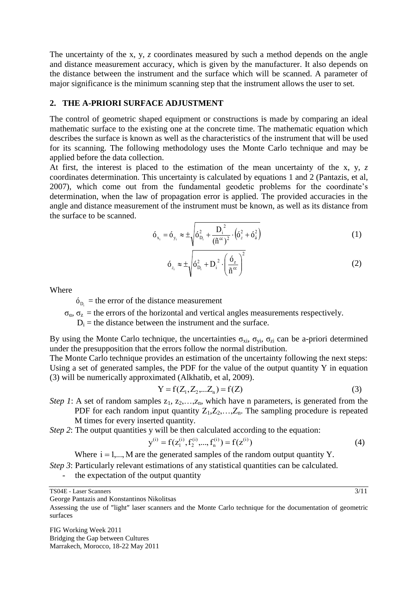The uncertainty of the x, y, *z* coordinates measured by such a method depends on the angle and distance measurement accuracy, which is given by the manufacturer. It also depends on the distance between the instrument and the surface which will be scanned. A parameter of major significance is the minimum scanning step that the instrument allows the user to set.

#### **2. THE A-PRIORI SURFACE ADJUSTMENT**

The control of geometric shaped equipment or constructions is made by comparing an ideal mathematic surface to the existing one at the concrete time. The mathematic equation which describes the surface is known as well as the characteristics of the instrument that will be used for its scanning. The following methodology uses the Monte Carlo technique and may be applied before the data collection.

At first, the interest is placed to the estimation of the mean uncertainty of the x, y, *z*  coordinates determination. This uncertainty is calculated by equations 1 and 2 (Pantazis, et al, 2007), which come out from the fundamental geodetic problems for the coordinate's determination, when the law of propagation error is applied. The provided accuracies in the angle and distance measurement of the instrument must be known, as well as its distance from the surface to be scanned.

$$
6_{x_i} = 6_{y_i} \approx \pm \sqrt{6_{D_i}^2 + \frac{D_i^2}{(\tilde{n}^{\infty})^2} \cdot (\delta_z^2 + \delta_{\hat{a}}^2)}
$$
 (1)

$$
\acute{o}_{z_i} \approx \pm \sqrt{\acute{o}_{D_i}^2 + D_i^2 \cdot \left(\frac{\acute{o}_z}{\tilde{n}^{\infty}}\right)^2}
$$
 (2)

Where

 $\delta_{D_i}$  = the error of the distance measurement

 $\sigma_{\alpha}$ ,  $\sigma_{z}$  = the errors of the horizontal and vertical angles measurements respectively.

 $D_i$  = the distance between the instrument and the surface.

By using the Monte Carlo technique, the uncertainties  $\sigma_{xi}$ ,  $\sigma_{yi}$ ,  $\sigma_{zi}$  can be a-priori determined under the presupposition that the errors follow the normal distribution.

The Monte Carlo technique provides an estimation of the uncertainty following the next steps: Using a set of generated samples, the PDF for the value of the output quantity Y in equation (3) will be numerically approximated (Alkhatib, et al, 2009).

$$
Y = f(Z_1, Z_2, \dots, Z_n) = f(Z)
$$
\n(3)

- *Step 1*: A set of random samples  $z_1, z_2, \ldots, z_n$ , which have n parameters, is generated from the PDF for each random input quantity  $Z_1, Z_2, \ldots, Z_n$ . The sampling procedure is repeated M times for every inserted quantity.
- *Step 2*: The output quantities y will be then calculated according to the equation:

$$
y^{(i)} = f(z_1^{(i)}, f_2^{(i)}, ..., f_n^{(i)}) = f(z^{(i)})
$$
\n(4)

Where  $i = 1, \ldots, M$  are the generated samples of the random output quantity Y.

- *Step 3*: Particularly relevant estimations of any statistical quantities can be calculated.
	- the expectation of the output quantity

TS04E - Laser Scanners

George Pantazis and Konstantinos Nikolitsas

Assessing the use of "light" laser scanners and the Monte Carlo technique for the documentation of geometric surfaces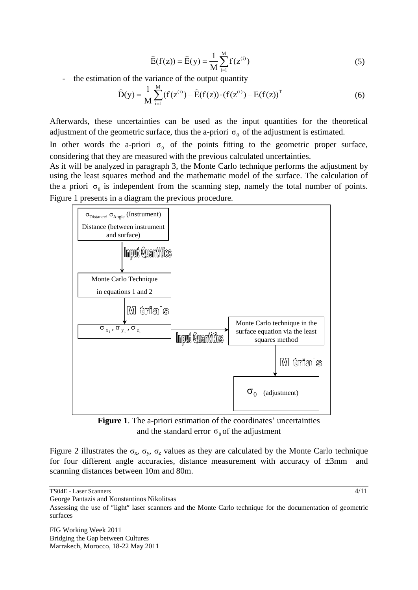$$
\widehat{E}(f(z)) = \widehat{E}(y) = \frac{1}{M} \sum_{i=1}^{M} f(z^{(i)})
$$
\n(5)

- the estimation of the variance of the output quantity

$$
\widehat{D}(y) = \frac{1}{M} \sum_{i=1}^{M} (f(z^{(i)}) - \widehat{E}(f(z)) \cdot (f(z^{(i)}) - E(f(z)))^{T}
$$
\n(6)

Afterwards, these uncertainties can be used as the input quantities for the theoretical adjustment of the geometric surface, thus the a-priori  $\sigma_0$  of the adjustment is estimated.

In other words the a-priori  $\sigma_0$  of the points fitting to the geometric proper surface, considering that they are measured with the previous calculated uncertainties.

As it will be analyzed in paragraph 3, the Monte Carlo technique performs the adjustment by using the least squares method and the mathematic model of the surface. The calculation of the a priori  $\sigma_0$  is independent from the scanning step, namely the total number of points. Figure 1 presents in a diagram the previous procedure.



**Figure 1**. The a-priori estimation of the coordinates' uncertainties and the standard error  $\sigma_0$  of the adjustment

Figure 2 illustrates the  $\sigma_x$ ,  $\sigma_y$ ,  $\sigma_z$  values as they are calculated by the Monte Carlo technique for four different angle accuracies, distance measurement with accuracy of  $\pm 3$ mm and scanning distances between 10m and 80m.

TS04E - Laser Scanners

George Pantazis and Konstantinos Nikolitsas

Assessing the use of "light" laser scanners and the Monte Carlo technique for the documentation of geometric surfaces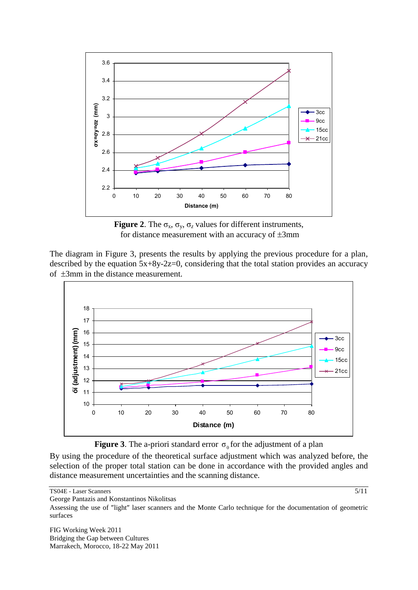

**Figure 2.** The  $\sigma_x$ ,  $\sigma_y$ ,  $\sigma_z$  values for different instruments, for distance measurement with an accuracy of  $\pm 3$ mm

The diagram in Figure 3, presents the results by applying the previous procedure for a plan, described by the equation  $5x+8y-2z=0$ , considering that the total station provides an accuracy of  $\pm 3$ mm in the distance measurement.





By using the procedure of the theoretical surface adjustment which was analyzed before, the selection of the proper total station can be done in accordance with the provided angles and distance measurement uncertainties and the scanning distance.

TS04E - Laser Scanners

George Pantazis and Konstantinos Nikolitsas

Assessing the use of "light" laser scanners and the Monte Carlo technique for the documentation of geometric surfaces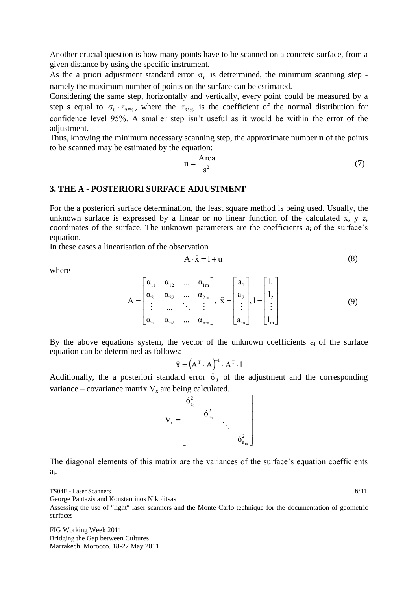Another crucial question is how many points have to be scanned on a concrete surface, from a given distance by using the specific instrument.

As the a priori adjustment standard error  $\sigma_0$  is detrermined, the minimum scanning step namely the maximum number of points on the surface can be estimated.

Considering the same step, horizontally and vertically, every point could be measured by a step **s** equal to  $\sigma_0 \cdot z_{95\%}$ , where the  $z_{95\%}$  is the coefficient of the normal distribution for confidence level 95%. A smaller step isn't useful as it would be within the error of the adjustment.

Thus, knowing the minimum necessary scanning step, the approximate number **n** of the points to be scanned may be estimated by the equation:

$$
n = \frac{Area}{s^2} \tag{7}
$$

#### **3. THE A - POSTERIORI SURFACE ADJUSTMENT**

For the a posteriori surface determination, the least square method is being used. Usually, the unknown surface is expressed by a linear or no linear function of the calculated x,  $y \, z$ , coordinates of the surface. The unknown parameters are the coefficients  $a_i$  of the surface's equation.

In these cases a linearisation of the observation

$$
A \cdot \hat{x} = l + u \tag{8}
$$

where

$$
A = \begin{bmatrix} \alpha_{11} & \alpha_{12} & \dots & \alpha_{1m} \\ \alpha_{21} & \alpha_{22} & \dots & \alpha_{2m} \\ \vdots & \dots & \ddots & \vdots \\ \alpha_{n1} & \alpha_{n2} & \dots & \alpha_{nm} \end{bmatrix}, \ \widehat{x} = \begin{bmatrix} a_1 \\ a_2 \\ \vdots \\ a_m \end{bmatrix}, 1 = \begin{bmatrix} l_1 \\ l_2 \\ \vdots \\ l_m \end{bmatrix}
$$
(9)

By the above equations system, the vector of the unknown coefficients  $a_i$  of the surface equation can be determined as follows:

$$
\widehat{\mathbf{x}} = (\mathbf{A}^{\mathrm{T}} \cdot \mathbf{A})^{-1} \cdot \mathbf{A}^{\mathrm{T}} \cdot \mathbf{1}
$$

Additionally, the a posteriori standard error  $\hat{\sigma}_0$  of the adjustment and the corresponding variance – covariance matrix  $V_x$  are being calculated.

$$
V_{x} = \begin{bmatrix} \delta_{a_1}^{2} & & & \\ & \delta_{a_2}^{2} & & \\ & & \ddots & \\ & & & \delta_{a_m}^{2} \end{bmatrix}
$$

The diagonal elements of this matrix are the variances of the surface's equation coefficients  $a_i$ .

TS04E - Laser Scanners

George Pantazis and Konstantinos Nikolitsas

Assessing the use of "light" laser scanners and the Monte Carlo technique for the documentation of geometric surfaces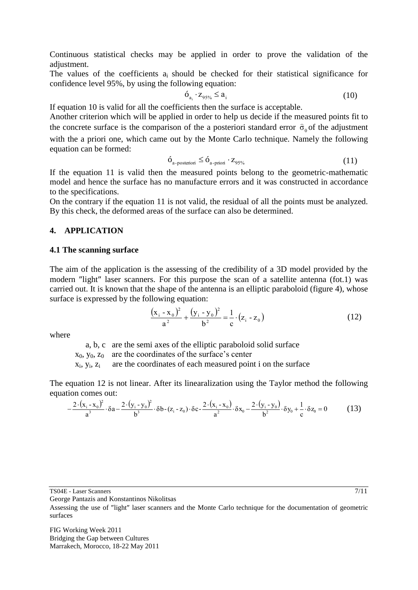Continuous statistical checks may be applied in order to prove the validation of the adjustment.

The values of the coefficients  $a_i$  should be checked for their statistical significance for confidence level 95%, by using the following equation:

$$
\delta_{a_i} \cdot z_{95\%} \le a_i \tag{10}
$$

If equation 10 is valid for all the coefficients then the surface is acceptable.

Another criterion which will be applied in order to help us decide if the measured points fit to the concrete surface is the comparison of the a posteriori standard error  $\hat{\sigma}_0$  of the adjustment with the a priori one, which came out by the Monte Carlo technique. Namely the following equation can be formed:

$$
\dot{\mathbf{O}}_{\text{a-posterior}} \le \dot{\mathbf{O}}_{\text{a-proti}} \cdot \mathbf{z}_{95\%} \tag{11}
$$

If the equation 11 is valid then the measured points belong to the geometric-mathematic model and hence the surface has no manufacture errors and it was constructed in accordance to the specifications.

On the contrary if the equation 11 is not valid, the residual of all the points must be analyzed. By this check, the deformed areas of the surface can also be determined.

## **4. APPLICATION**

#### **4.1 The scanning surface**

The aim of the application is the assessing of the credibility of a 3D model provided by the modern "light" laser scanners. For this purpose the scan of a satellite antenna (fot.1) was carried out. It is known that the shape of the antenna is an elliptic paraboloid (figure 4), whose surface is expressed by the following equation:

$$
\frac{(x_i - x_0)^2}{a^2} + \frac{(y_i - y_0)^2}{b^2} = \frac{1}{c} \cdot (z_i - z_0)
$$
 (12)

where

a, b, c are the semi axes of the elliptic paraboloid solid surface

 $x_0$ ,  $y_0$ ,  $z_0$  are the coordinates of the surface's center

 $x_i, y_i$ are the coordinates of each measured point i on the surface

The equation 12 is not linear. After its linearalization using the Taylor method the following equation comes out:<br>  $-\frac{2\cdot(x_i - x_0)^2}{a^3} \cdot \delta a - \frac{2\cdot(y_i - y_0)^2}{b^3} \cdot \delta b - (z_i - z_0) \cdot \delta c - \frac{2\cdot(x_i - x_0)}{a^2} \cdot \delta x_0 - \frac{2\cdot(y_i - y_0)}{$ equation comes out:

$$
-\frac{2\cdot(x_i-x_0)^2}{a^3}\cdot \delta a-\frac{2\cdot(y_i-y_0)^2}{b^3}\cdot \delta b-(z_i-z_0)\cdot \delta c-\frac{2\cdot(x_i-x_0)}{a^2}\cdot \delta x_0-\frac{2\cdot(y_i-y_0)}{b^2}\cdot \delta y_0+\frac{1}{c}\cdot \delta z_0=0
$$
 (13)

TS04E - Laser Scanners

George Pantazis and Konstantinos Nikolitsas

Assessing the use of "light" laser scanners and the Monte Carlo technique for the documentation of geometric surfaces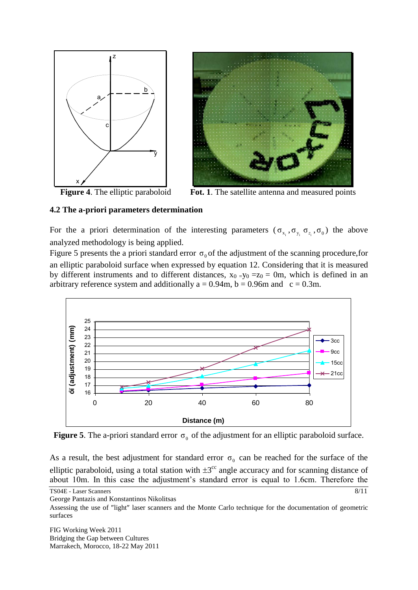

Figure 4. The elliptic paraboloid

Fot. 1. The satellite antenna and measured points

# **4.2 The a-priori parameters determination**

For the a priori determination of the interesting parameters  $(\sigma_{x_i}, \sigma_{y_i}, \sigma_{z_i}, \sigma_0)$  the above analyzed methodology is being applied.

Figure 5 presents the a priori standard error  $\sigma_0$  of the adjustment of the scanning procedure, for an elliptic paraboloid surface when expressed by equation 12. Considering that it is measured by different instruments and to different distances,  $x_0 = y_0 = z_0 = 0$ m, which is defined in an arbitrary reference system and additionally  $a = 0.94$ m,  $b = 0.96$ m and  $c = 0.3$ m.



**Figure 5**. The a-priori standard error  $\sigma_0$  of the adjustment for an elliptic paraboloid surface.

As a result, the best adjustment for standard error  $\sigma_0$  can be reached for the surface of the elliptic paraboloid, using a total station with  $\pm 3^{\circ}$  angle accuracy and for scanning distance of about 10m. In this case the adjustment's standard error is equal to 1.6cm. Therefore the

TS04E - Laser Scanners

George Pantazis and Konstantinos Nikolitsas

Assessing the use of "light" laser scanners and the Monte Carlo technique for the documentation of geometric surfaces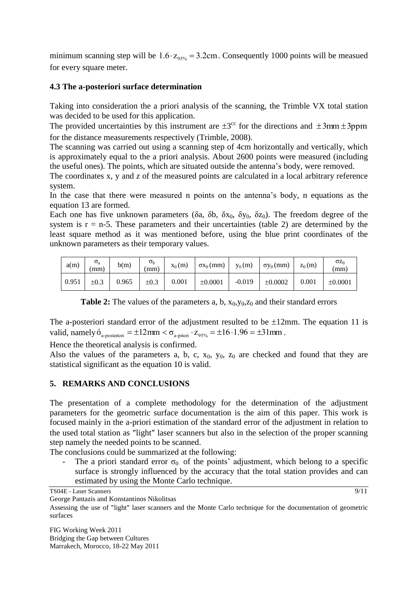minimum scanning step will be  $1.6 \cdot z_{95\%} = 3.2 \text{cm}$ . Consequently 1000 points will be measued for every square meter.

## **4.3 The a-posteriori surface determination**

Taking into consideration the a priori analysis of the scanning, the Trimble VX total station was decided to be used for this application.

The provided uncertainties by this instrument are  $\pm 3^{\circ\circ}$  for the directions and  $\pm 3$ mm  $\pm 3$ ppm for the distance measurements respectively (Trimble, 2008).

The scanning was carried out using a scanning step of 4cm horizontally and vertically, which is approximately equal to the a priori analysis. About 2600 points were measured (including the useful ones). The points, which are situated outside the antenna's body, were removed.

The coordinates x, y and z of the measured points are calculated in a local arbitrary reference system.

In the case that there were measured n points on the antenna's body, n equations as the equation 13 are formed.

Each one has five unknown parameters (δa, δb, δx<sub>0</sub>, δy<sub>0</sub>, δz<sub>0</sub>). The freedom degree of the system is  $r = n-5$ . These parameters and their uncertainties (table 2) are determined by the least square method as it was mentioned before, using the blue print coordinates of the unknown parameters as their temporary values.

| a(m)  | $\sigma_{a}$<br>$\rm{mm}$ | b(m)  | $\sigma_{\rm b}$<br>mm) | $x_0(m)$ | $\sigma x_0$ (mm) | $y_0(m)$ | $\sigma y_0$ (mm) | $Z_0(m)$ | $\sigma z_0$<br>(mm) |
|-------|---------------------------|-------|-------------------------|----------|-------------------|----------|-------------------|----------|----------------------|
| 0.951 | $\pm 0.3$                 | 0.965 | $\pm 0.3$               | 0.001    | ±0.0001           | $-0.019$ | ±0.0002           | 0.001    | ±0.0001              |

**Table 2:** The values of the parameters a, b,  $x_0, y_0, z_0$  and their standard errors

The a-posteriori standard error of the adjustment resulted to be  $\pm 12$ mm. The equation 11 is valid, namely  $\dot{\sigma}_{a\text{-posterior}} = \pm 12 \,\text{mm} < \sigma_{a\text{-prior}} \cdot z_{95\%} = \pm 16 \cdot 1.96 = \pm 31 \,\text{mm}$ .

Hence the theoretical analysis is confirmed.

Also the values of the parameters a, b, c,  $x_0$ ,  $y_0$ ,  $z_0$  are checked and found that they are statistical significant as the equation 10 is valid.

### **5. REMARKS AND CONCLUSIONS**

The presentation of a complete methodology for the determination of the adjustment parameters for the geometric surface documentation is the aim of this paper. This work is focused mainly in the a-priori estimation of the standard error of the adjustment in relation to the used total station as "light" laser scanners but also in the selection of the proper scanning step namely the needed points to be scanned.

The conclusions could be summarized at the following:

The a priori standard error  $\sigma_0$  of the points' adjustment, which belong to a specific surface is strongly influenced by the accuracy that the total station provides and can estimated by using the Monte Carlo technique.

TS04E - Laser Scanners

George Pantazis and Konstantinos Nikolitsas

Assessing the use of "light" laser scanners and the Monte Carlo technique for the documentation of geometric surfaces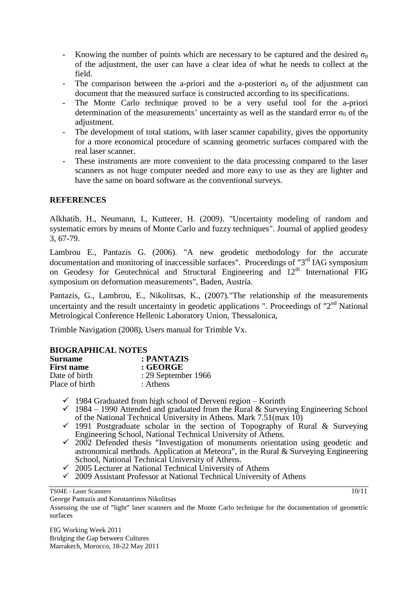- Knowing the number of points which are necessary to be captured and the desired  $\sigma_0$ of the adjustment, the user can have a clear idea of what he needs to collect at the field.
- The comparison between the a-priori and the a-posteriori  $\sigma_0$  of the adjustment can document that the measured surface is constructed according to its specifications.
- The Monte Carlo technique proved to be a very useful tool for the a-priori determination of the measurements' uncertainty as well as the standard error  $\sigma_0$  of the adjustment.
- The development of total stations, with laser scanner capability, gives the opportunity for a more economical procedure of scanning geometric surfaces compared with the real laser scanner.
- These instruments are more convenient to the data processing compared to the laser scanners as not huge computer needed and more easy to use as they are lighter and have the same on board software as the conventional surveys.

# **REFERENCES**

Alkhatib, H., Neumann, I., Kutterer, H. (2009). "Uncertainty modeling of random and systematic errors by means of Monte Carlo and fuzzy techniques". Journal of applied geodesy 3, 67-79.

Lambrou E., Pantazis G. (2006). "A new geodetic methodology for the accurate documentation and monitoring of inaccessible surfaces". Proceedings of "3<sup>rd</sup> IAG symposium on Geodesy for Geotechnical and Structural Engineering and 12<sup>th</sup> International FIG symposium on deformation measurements", Baden, Austria.

Pantazis, G., Lambrou, E., Nikolitsas, K., (2007)."The relationship of the measurements uncertainty and the result uncertainty in geodetic applications ". Proceedings of  $"2<sup>nd</sup>$  National Metrological Conference Hellenic Laboratory Union, Thessalonica,

Trimble Navigation (2008), Users manual for Trimble Vx.

| <b>BIOGRAPHICAL NOTES</b> |                     |  |  |  |
|---------------------------|---------------------|--|--|--|
| <b>Surname</b>            | : PANTAZIS          |  |  |  |
| <b>First name</b>         | : <b>GEORGE</b>     |  |  |  |
| Date of birth             | : 29 September 1966 |  |  |  |
| Place of birth            | : Athens            |  |  |  |

## **BIOGRAPHICAL NOTES**

- $\checkmark$  1984 Graduated from high school of Derveni region Korinth
- $\checkmark$  1984 1990 Attended and graduated from the Rural & Surveying Engineering School of the National Technical University in Athens. Mark 7.51(max 10)
- of the National Technical University in Attients. Mark 1.91 (max 10)<br>  $\checkmark$  1991 Postgraduate scholar in the section of Topography of Rural & Surveying Engineering School, National Technical University of Athens.
- $\checkmark$  2002 Defended thesis "Investigation of monuments orientation using geodetic and astronomical methods. Application at Meteora", in the Rural  $\&$  Surveying Engineering School, National Technical University of Athens.
- $\sim$  2005 Lecturer at National Technical University of Athens
- 2009 Assistant Professor at National Technical University of Athens

TS04E - Laser Scanners

George Pantazis and Konstantinos Nikolitsas

Assessing the use of "light" laser scanners and the Monte Carlo technique for the documentation of geometric surfaces

FIG Working Week 2011 Bridging the Gap between Cultures Marrakech, Morocco, 18-22 May 2011 10/11